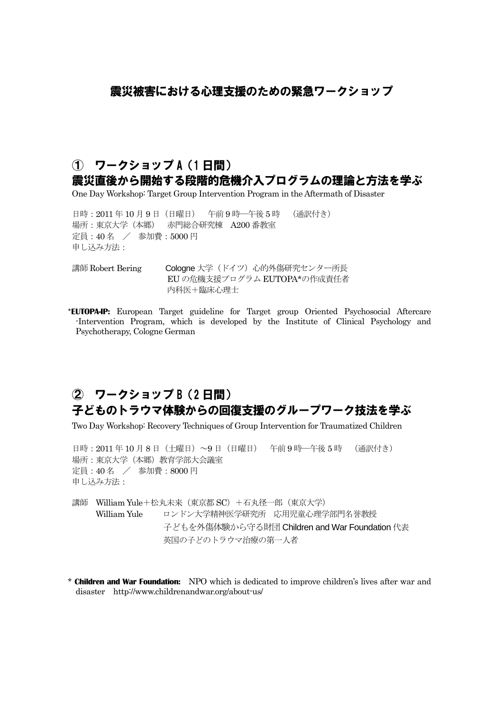### 震災被害における心理支援のための緊急ワークショップ

## ① ワークショップ A(1 日間)

### 震災直後から開始する段階的危機介入プログラムの理論と方法を学ぶ

One Day Workshop: Target Group Intervention Program in the Aftermath of Disaster

日時:2011 年 10 月 9 日(日曜日) 午前 9 時―午後 5 時 (通訳付き) 場所:東京大学(本郷) 赤門総合研究棟 A200 番教室 定員:40 名 / 参加費:5000 円 申し込み方法:

講師 Robert Bering Cologne 大学 (ドイツ) 心的外傷研究センター所長 EU の危機支援プログラム EUTOPA\*の作成責任者 内科医+臨床心理士

**\*EUTOPA-IP:** European Target guideline for Target group Oriented Psychosocial Aftercare -Intervention Program, which is developed by the Institute of Clinical Psychology and Psychotherapy, Cologne German

## ② ワークショップ B(2 日間) 子どものトラウマ体験からの回復支援のグループワーク技法を学ぶ

Two Day Workshop: Recovery Techniques of Group Intervention for Traumatized Children

日時: 2011 年 10 月 8 日 (土曜日) ~9 日 (日曜日) 午前 9 時 一午後 5 時 (通訳付き) 場所:東京大学(本郷)教育学部大会議室 定員:40 名 / 参加費:8000 円 申し込み方法:

講師 William Yule+松丸未来(東京都 SC)+石丸径一郎(東京大学) William Yule ロンドン大学精神医学研究所 応用児童心理学部門名誉教授 子どもを外傷体験から守る財団 Children and War Foundation 代表 英国の子どのトラウマ治療の第一人者

\* **Children and War Foundation:** NPO which is dedicated to improve children's lives after war and disaster http://www.childrenandwar.org/about-us/